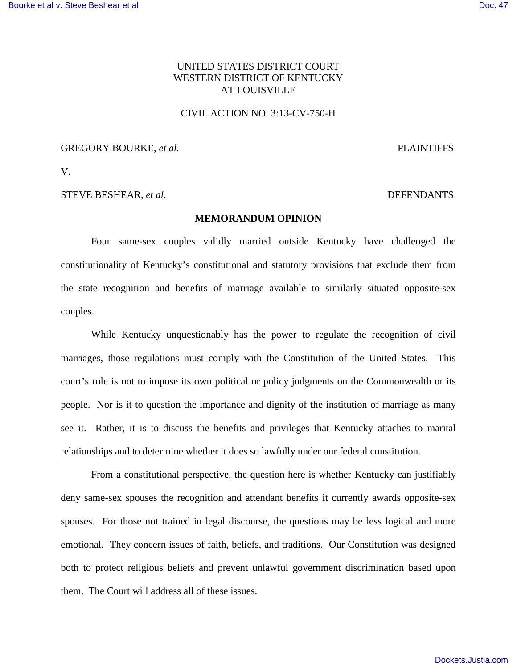# UNITED STATES DISTRICT COURT WESTERN DISTRICT OF KENTUCKY AT LOUISVILLE

## CIVIL ACTION NO. 3:13-CV-750-H

GREGORY BOURKE, *et al.* PLAINTIFFS

V.

STEVE BESHEAR, *et al.* DEFENDANTS

## **MEMORANDUM OPINION**

Four same-sex couples validly married outside Kentucky have challenged the constitutionality of Kentucky's constitutional and statutory provisions that exclude them from the state recognition and benefits of marriage available to similarly situated opposite-sex couples.

While Kentucky unquestionably has the power to regulate the recognition of civil marriages, those regulations must comply with the Constitution of the United States. This court's role is not to impose its own political or policy judgments on the Commonwealth or its people. Nor is it to question the importance and dignity of the institution of marriage as many see it. Rather, it is to discuss the benefits and privileges that Kentucky attaches to marital relationships and to determine whether it does so lawfully under our federal constitution.

From a constitutional perspective, the question here is whether Kentucky can justifiably deny same-sex spouses the recognition and attendant benefits it currently awards opposite-sex spouses. For those not trained in legal discourse, the questions may be less logical and more emotional. They concern issues of faith, beliefs, and traditions. Our Constitution was designed both to protect religious beliefs and prevent unlawful government discrimination based upon them. The Court will address all of these issues.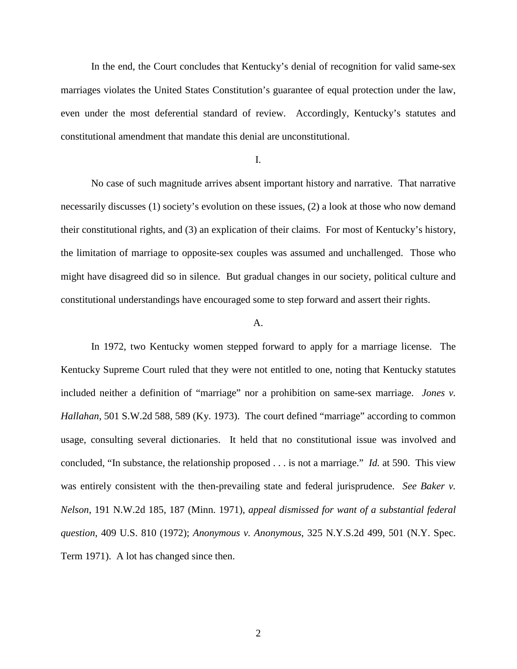In the end, the Court concludes that Kentucky's denial of recognition for valid same-sex marriages violates the United States Constitution's guarantee of equal protection under the law, even under the most deferential standard of review. Accordingly, Kentucky's statutes and constitutional amendment that mandate this denial are unconstitutional.

## I.

No case of such magnitude arrives absent important history and narrative. That narrative necessarily discusses (1) society's evolution on these issues, (2) a look at those who now demand their constitutional rights, and (3) an explication of their claims. For most of Kentucky's history, the limitation of marriage to opposite-sex couples was assumed and unchallenged. Those who might have disagreed did so in silence. But gradual changes in our society, political culture and constitutional understandings have encouraged some to step forward and assert their rights.

#### A.

In 1972, two Kentucky women stepped forward to apply for a marriage license. The Kentucky Supreme Court ruled that they were not entitled to one, noting that Kentucky statutes included neither a definition of "marriage" nor a prohibition on same-sex marriage. *Jones v. Hallahan*, 501 S.W.2d 588, 589 (Ky. 1973). The court defined "marriage" according to common usage, consulting several dictionaries. It held that no constitutional issue was involved and concluded, "In substance, the relationship proposed . . . is not a marriage." *Id.* at 590. This view was entirely consistent with the then-prevailing state and federal jurisprudence. *See Baker v. Nelson*, 191 N.W.2d 185, 187 (Minn. 1971), *appeal dismissed for want of a substantial federal question*, 409 U.S. 810 (1972); *Anonymous v. Anonymous*, 325 N.Y.S.2d 499, 501 (N.Y. Spec. Term 1971). A lot has changed since then.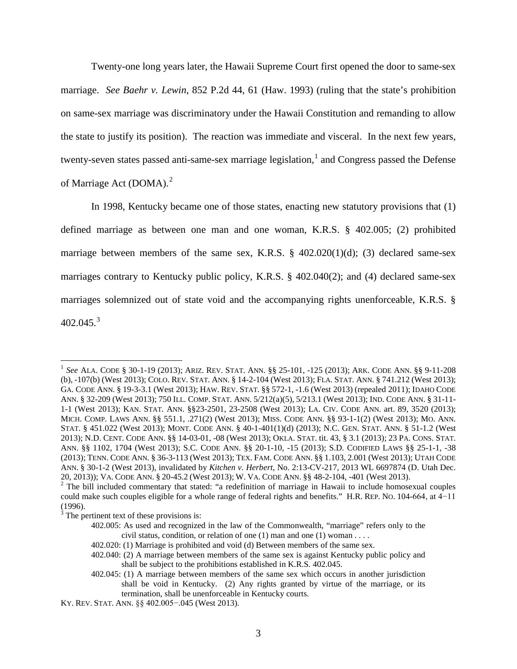Twenty-one long years later, the Hawaii Supreme Court first opened the door to same-sex marriage. *See Baehr v. Lewin*, 852 P.2d 44, 61 (Haw. 1993) (ruling that the state's prohibition on same-sex marriage was discriminatory under the Hawaii Constitution and remanding to allow the state to justify its position). The reaction was immediate and visceral. In the next few years, twenty-seven states passed anti-same-sex marriage legislation,<sup>[1](#page-2-0)</sup> and Congress passed the Defense of Marriage Act (DOMA). $^{2}$  $^{2}$  $^{2}$ 

In 1998, Kentucky became one of those states, enacting new statutory provisions that (1) defined marriage as between one man and one woman, K.R.S. § 402.005; (2) prohibited marriage between members of the same sex, K.R.S. § 402.020(1)(d); (3) declared same-sex marriages contrary to Kentucky public policy, K.R.S. § 402.040(2); and (4) declared same-sex marriages solemnized out of state void and the accompanying rights unenforceable, K.R.S. §  $402.045.<sup>3</sup>$  $402.045.<sup>3</sup>$  $402.045.<sup>3</sup>$ 

<span id="page-2-0"></span><sup>1</sup> *See* ALA. CODE § 30-1-19 (2013); ARIZ. REV. STAT. ANN. §§ 25-101, -125 (2013); ARK. CODE ANN. §§ 9-11-208 (b), -107(b) (West 2013); COLO. REV. STAT. ANN. § 14-2-104 (West 2013); FLA. STAT. ANN. § 741.212 (West 2013); GA. CODE ANN. § 19-3-3.1 (West 2013); HAW. REV. STAT. §§ 572-1, -1.6 (West 2013) (repealed 2011); IDAHO CODE ANN. § 32-209 (West 2013); 750 ILL. COMP. STAT. ANN. 5/212(a)(5), 5/213.1 (West 2013); IND. CODE ANN. § 31-11- 1-1 (West 2013); KAN. STAT. ANN. §§23-2501, 23-2508 (West 2013); LA. CIV. CODE ANN. art. 89, 3520 (2013); MICH. COMP. LAWS ANN. §§ 551.1, [.271\(](http://www.westlaw.com/Find/Default.wl?rs=dfa1.0&vr=2.0&DB=1000043&DocName=MIST551.271&FindType=L)2) (West 2013); MISS. CODE ANN. §§ 93-1-1(2) (West 2013); MO. ANN. STAT. § 451.022 (West 2013); MONT. CODE ANN. § 40-1-401(1)(d) (2013); N.C. GEN. STAT. ANN. § 51-1.2 (West 2013); N.D. CENT. CODE ANN. §§ 14-03-01, -08 (West 2013); OKLA. STAT. tit. 43, § [3.1](http://www.westlaw.com/Find/Default.wl?rs=dfa1.0&vr=2.0&DB=1000165&DocName=OKSTT43S3.1&FindType=L) (2013); 23 PA. CONS. STAT. ANN. §§ 1102, [1704](http://www.westlaw.com/Find/Default.wl?rs=dfa1.0&vr=2.0&DB=1000262&DocName=PA23S1704&FindType=L) (West 2013); S.C. CODE ANN. §§ 20-1-10, [-15](http://www.westlaw.com/Find/Default.wl?rs=dfa1.0&vr=2.0&DB=1001530&DocName=SCSTS20-1-15&FindType=L) (2013); S.D. CODIFIED LAWS §§ 25-1-1, [-38](http://www.westlaw.com/Find/Default.wl?rs=dfa1.0&vr=2.0&DB=1000359&DocName=SDSTS25-1-38&FindType=L) (2013); TENN. CODE ANN. § 36-3-113 (West 2013); TEX. FAM. CODE ANN. §§ 1.103, [2.001](http://www.westlaw.com/Find/Default.wl?rs=dfa1.0&vr=2.0&DB=1000175&DocName=TXFAS2.001&FindType=L) (West 2013); UTAH CODE ANN. § 30-1-2 (West 2013), invalidated by *Kitchen v. Herbert*, No. 2:13-CV-217, 2013 WL 6697874 (D. Utah Dec. 20, 2013)); VA. CODE ANN. § 20-45.2 (West 2013); W. VA. CODE ANN. §§ 48-2-104, -401 (West 2013).

<span id="page-2-1"></span> $2$  The bill included commentary that stated: "a redefinition of marriage in Hawaii to include homosexual couples could make such couples eligible for a whole range of federal rights and benefits." H.R. REP. NO. 104-664, at 4−11 (1996).

<span id="page-2-2"></span> $3$  The pertinent text of these provisions is:

<sup>402.005:</sup> As used and recognized in the law of the Commonwealth, "marriage" refers only to the civil status, condition, or relation of one  $(1)$  man and one  $(1)$  woman ...

<sup>402.020: (1)</sup> Marriage is prohibited and void (d) Between members of the same sex.

<sup>402.040: (2)</sup> A marriage between members of the same sex is against Kentucky public policy and shall be subject to the prohibitions established in K.R.S. 402.045.

<sup>402.045: (1)</sup> A marriage between members of the same sex which occurs in another jurisdiction shall be void in Kentucky. (2) Any rights granted by virtue of the marriage, or its termination, shall be unenforceable in Kentucky courts.

KY. REV. STAT. ANN. §§ 402.005−.045 (West 2013).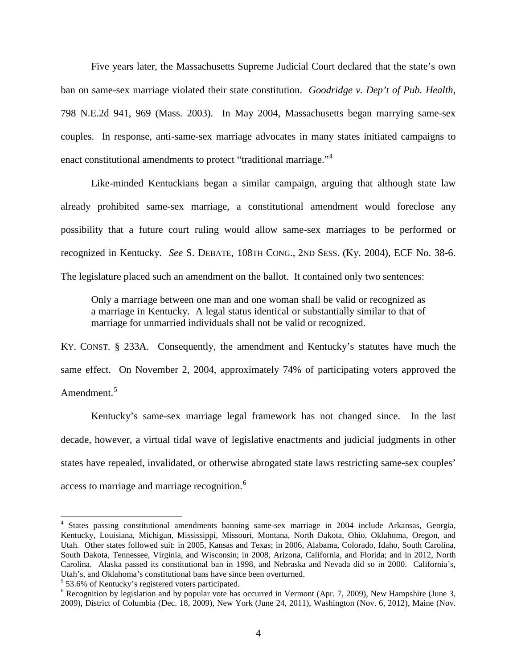Five years later, the Massachusetts Supreme Judicial Court declared that the state's own ban on same-sex marriage violated their state constitution. *Goodridge v. Dep't of Pub. Health*, [798 N.E.2d 941,](http://en.wikipedia.org/wiki/Case_citation) 969 [\(Mass.](http://en.wikipedia.org/wiki/Massachusetts_Supreme_Judicial_Court) 2003). In May 2004, Massachusetts began marrying same-sex couples. In response, anti-same-sex marriage advocates in many states initiated campaigns to enact constitutional amendments to protect "traditional marriage."<sup>[4](#page-3-0)</sup>

Like-minded Kentuckians began a similar campaign, arguing that although state law already prohibited same-sex marriage, a constitutional amendment would foreclose any possibility that a future court ruling would allow same-sex marriages to be performed or recognized in Kentucky. *See* S. DEBATE, 108TH CONG., 2ND SESS. (Ky. 2004), ECF No. 38-6. The legislature placed such an amendment on the ballot. It contained only two sentences:

Only a marriage between one man and one woman shall be valid or recognized as a marriage in Kentucky. A legal status identical or substantially similar to that of marriage for unmarried individuals shall not be valid or recognized.

KY. CONST. § 233A. Consequently, the amendment and Kentucky's statutes have much the same effect. On November 2, 2004, approximately 74% of participating voters approved the Amendment.<sup>[5](#page-3-1)</sup>

Kentucky's same-sex marriage legal framework has not changed since. In the last decade, however, a virtual tidal wave of legislative enactments and judicial judgments in other states have repealed, invalidated, or otherwise abrogated state laws restricting same-sex couples' access to marriage and marriage recognition.<sup>[6](#page-3-2)</sup>

<span id="page-3-0"></span><sup>4</sup> States passing constitutional amendments banning same-sex marriage in 2004 include Arkansas, Georgia, Kentucky, Louisiana, Michigan, Mississippi, Missouri, Montana, North Dakota, Ohio, Oklahoma, Oregon, and Utah. Other states followed suit: in 2005, Kansas and Texas; in 2006, Alabama, Colorado, Idaho, South Carolina, South Dakota, Tennessee, Virginia, and Wisconsin; in 2008, Arizona, California, and Florida; and in 2012, North Carolina. Alaska passed its constitutional ban in 1998, and Nebraska and Nevada did so in 2000. California's, Utah's, and Oklahoma's constitutional bans have since been overturned.

<span id="page-3-1"></span><sup>&</sup>lt;sup>5</sup> 53.6% of Kentucky's registered voters participated.

<span id="page-3-2"></span> $6$  Recognition by legislation and by popular vote has occurred in Vermont (Apr. 7, 2009), New Hampshire (June 3, 2009), District of Columbia (Dec. 18, 2009), New York (June 24, 2011), Washington (Nov. 6, 2012), Maine (Nov.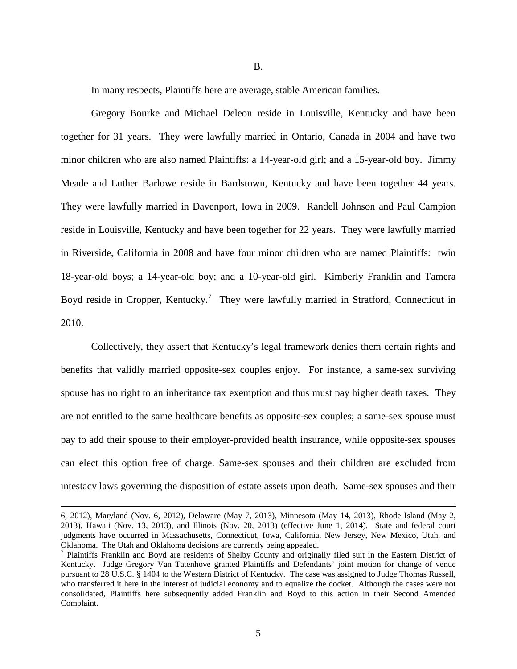B.

In many respects, Plaintiffs here are average, stable American families.

Gregory Bourke and Michael Deleon reside in Louisville, Kentucky and have been together for 31 years. They were lawfully married in Ontario, Canada in 2004 and have two minor children who are also named Plaintiffs: a 14-year-old girl; and a 15-year-old boy. Jimmy Meade and Luther Barlowe reside in Bardstown, Kentucky and have been together 44 years. They were lawfully married in Davenport, Iowa in 2009. Randell Johnson and Paul Campion reside in Louisville, Kentucky and have been together for 22 years. They were lawfully married in Riverside, California in 2008 and have four minor children who are named Plaintiffs: twin 18-year-old boys; a 14-year-old boy; and a 10-year-old girl. Kimberly Franklin and Tamera Boyd reside in Cropper, Kentucky.<sup>[7](#page-4-0)</sup> They were lawfully married in Stratford, Connecticut in 2010.

Collectively, they assert that Kentucky's legal framework denies them certain rights and benefits that validly married opposite-sex couples enjoy. For instance, a same-sex surviving spouse has no right to an inheritance tax exemption and thus must pay higher death taxes. They are not entitled to the same healthcare benefits as opposite-sex couples; a same-sex spouse must pay to add their spouse to their employer-provided health insurance, while opposite-sex spouses can elect this option free of charge. Same-sex spouses and their children are excluded from intestacy laws governing the disposition of estate assets upon death. Same-sex spouses and their

<sup>6, 2012),</sup> Maryland (Nov. 6, 2012), Delaware (May 7, 2013), Minnesota (May 14, 2013), Rhode Island (May 2, 2013), Hawaii (Nov. 13, 2013), and Illinois (Nov. 20, 2013) (effective June 1, 2014). State and federal court judgments have occurred in Massachusetts, Connecticut, Iowa, California, New Jersey, New Mexico, Utah, and Oklahoma. The Utah and Oklahoma decisions are currently being appealed.

<span id="page-4-0"></span><sup>&</sup>lt;sup>7</sup> Plaintiffs Franklin and Boyd are residents of Shelby County and originally filed suit in the Eastern District of Kentucky. Judge Gregory Van Tatenhove granted Plaintiffs and Defendants' joint motion for change of venue pursuant to 28 U.S.C. § 1404 to the Western District of Kentucky. The case was assigned to Judge Thomas Russell, who transferred it here in the interest of judicial economy and to equalize the docket. Although the cases were not consolidated, Plaintiffs here subsequently added Franklin and Boyd to this action in their Second Amended Complaint.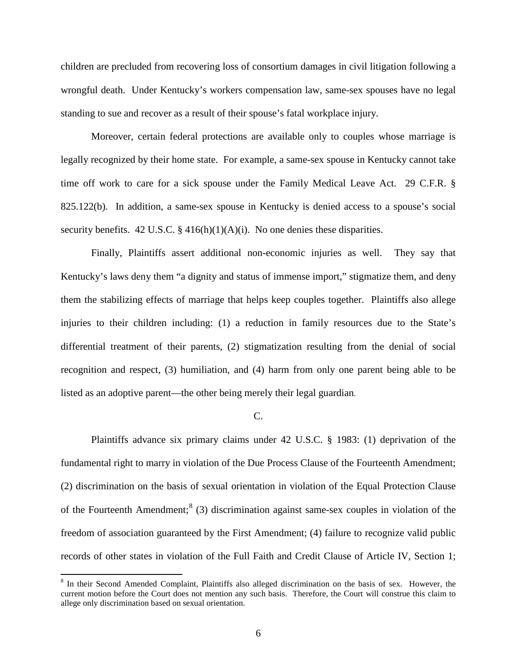children are precluded from recovering loss of consortium damages in civil litigation following a wrongful death. Under Kentucky's workers compensation law, same-sex spouses have no legal standing to sue and recover as a result of their spouse's fatal workplace injury.

Moreover, certain federal protections are available only to couples whose marriage is legally recognized by their home state. For example, a same-sex spouse in Kentucky cannot take time off work to care for a sick spouse under the Family Medical Leave Act. 29 C.F.R. § 825.122(b). In addition, a same-sex spouse in Kentucky is denied access to a spouse's social security benefits. 42 U.S.C.  $\S$  416(h)(1)(A)(i). No one denies these disparities.

Finally, Plaintiffs assert additional non-economic injuries as well. They say that Kentucky's laws deny them "a dignity and status of immense import," stigmatize them, and deny them the stabilizing effects of marriage that helps keep couples together. Plaintiffs also allege injuries to their children including: (1) a reduction in family resources due to the State's differential treatment of their parents, (2) stigmatization resulting from the denial of social recognition and respect, (3) humiliation, and (4) harm from only one parent being able to be listed as an adoptive parent—the other being merely their legal guardian.

#### C.

Plaintiffs advance six primary claims under 42 U.S.C. § 1983: (1) deprivation of the fundamental right to marry in violation of the Due Process Clause of the Fourteenth Amendment; (2) discrimination on the basis of sexual orientation in violation of the Equal Protection Clause of the Fourteenth Amendment;<sup>[8](#page-5-0)</sup> (3) discrimination against same-sex couples in violation of the freedom of association guaranteed by the First Amendment; (4) failure to recognize valid public records of other states in violation of the Full Faith and Credit Clause of Article IV, Section 1;

<span id="page-5-0"></span><sup>&</sup>lt;sup>8</sup> In their Second Amended Complaint, Plaintiffs also alleged discrimination on the basis of sex. However, the current motion before the Court does not mention any such basis. Therefore, the Court will construe this claim to allege only discrimination based on sexual orientation.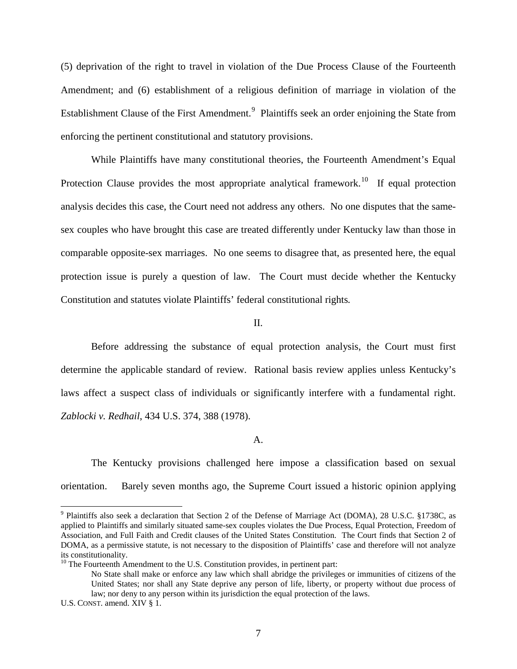(5) deprivation of the right to travel in violation of the Due Process Clause of the Fourteenth Amendment; and (6) establishment of a religious definition of marriage in violation of the Establishment Clause of the First Amendment.<sup>[9](#page-6-0)</sup> Plaintiffs seek an order enjoining the State from enforcing the pertinent constitutional and statutory provisions.

While Plaintiffs have many constitutional theories, the Fourteenth Amendment's Equal Protection Clause provides the most appropriate analytical framework.<sup>[10](#page-6-1)</sup> If equal protection analysis decides this case, the Court need not address any others. No one disputes that the samesex couples who have brought this case are treated differently under Kentucky law than those in comparable opposite-sex marriages. No one seems to disagree that, as presented here, the equal protection issue is purely a question of law. The Court must decide whether the Kentucky Constitution and statutes violate Plaintiffs' federal constitutional rights*.*

## II.

Before addressing the substance of equal protection analysis, the Court must first determine the applicable standard of review. Rational basis review applies unless Kentucky's laws affect a suspect class of individuals or significantly interfere with a fundamental right. *Zablocki v. Redhail*, 434 U.S. 374, 388 (1978).

#### A.

The Kentucky provisions challenged here impose a classification based on sexual orientation. Barely seven months ago, the Supreme Court issued a historic opinion applying

<span id="page-6-0"></span><sup>&</sup>lt;sup>9</sup> Plaintiffs also seek a declaration that Section 2 of the Defense of Marriage Act (DOMA), 28 U.S.C. §1738C, as applied to Plaintiffs and similarly situated same-sex couples violates the Due Process, Equal Protection, Freedom of Association, and Full Faith and Credit clauses of the United States Constitution. The Court finds that Section 2 of DOMA, as a permissive statute, is not necessary to the disposition of Plaintiffs' case and therefore will not analyze its constitutionality.

<span id="page-6-1"></span><sup>&</sup>lt;sup>10</sup> The Fourteenth Amendment to the U.S. Constitution provides, in pertinent part:

No State shall make or enforce any law which shall abridge the privileges or immunities of citizens of the United States; nor shall any State deprive any person of life, liberty, or property without due process of law; nor deny to any person within its jurisdiction the equal protection of the laws.

U.S. CONST. amend. XIV § 1.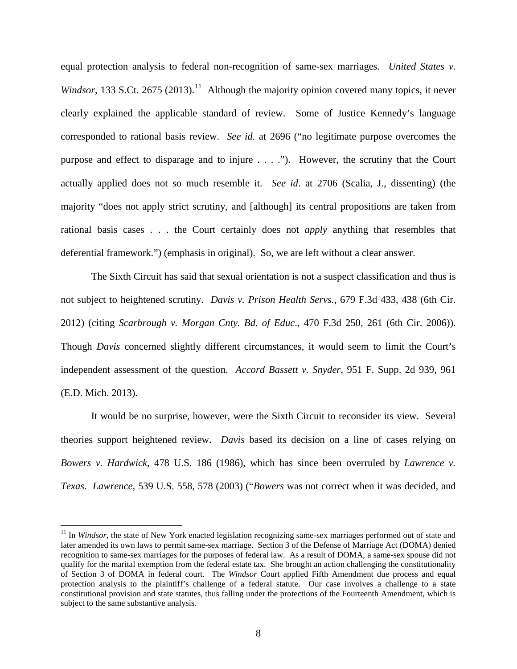equal protection analysis to federal non-recognition of same-sex marriages. *United States v.*  Windsor, 133 S.Ct. 2675 (2013).<sup>[11](#page-7-0)</sup> Although the majority opinion covered many topics, it never clearly explained the applicable standard of review. Some of Justice Kennedy's language corresponded to rational basis review. *See id.* at 2696 ("no legitimate purpose overcomes the purpose and effect to disparage and to injure . . . ."). However, the scrutiny that the Court actually applied does not so much resemble it. *See id*. at 2706 (Scalia, J., dissenting) (the majority "does not apply strict scrutiny, and [although] its central propositions are taken from rational basis cases . . . the Court certainly does not *apply* anything that resembles that deferential framework.") (emphasis in original). So, we are left without a clear answer.

The Sixth Circuit has said that sexual orientation is not a suspect classification and thus is not subject to heightened scrutiny. *Davis v. Prison Health Servs.*, 679 F.3d 433, 438 (6th Cir. 2012) (citing *Scarbrough v. Morgan Cnty. Bd. of Educ*., 470 F.3d 250, 261 (6th Cir. 2006)). Though *Davis* concerned slightly different circumstances, it would seem to limit the Court's independent assessment of the question. *Accord Bassett v. Snyder*, 951 F. Supp. 2d 939, 961 (E.D. Mich. 2013).

It would be no surprise, however, were the Sixth Circuit to reconsider its view. Several theories support heightened review. *Davis* based its decision on a line of cases relying on *Bowers v. Hardwick*, 478 U.S. 186 (1986), which has since been overruled by *Lawrence v. Texas*. *Lawrence*, 539 U.S. 558, 578 (2003) ("*Bowers* was not correct when it was decided, and

<span id="page-7-0"></span><sup>&</sup>lt;sup>11</sup> In *Windsor*, the state of New York enacted legislation recognizing same-sex marriages performed out of state and later amended its own laws to permit same-sex marriage. Section 3 of the Defense of Marriage Act (DOMA) denied recognition to same-sex marriages for the purposes of federal law. As a result of DOMA, a same-sex spouse did not qualify for the marital exemption from the federal estate tax. She brought an action challenging the constitutionality of Section 3 of DOMA in federal court. The *Windsor* Court applied Fifth Amendment due process and equal protection analysis to the plaintiff's challenge of a federal statute. Our case involves a challenge to a state constitutional provision and state statutes, thus falling under the protections of the Fourteenth Amendment, which is subject to the same substantive analysis.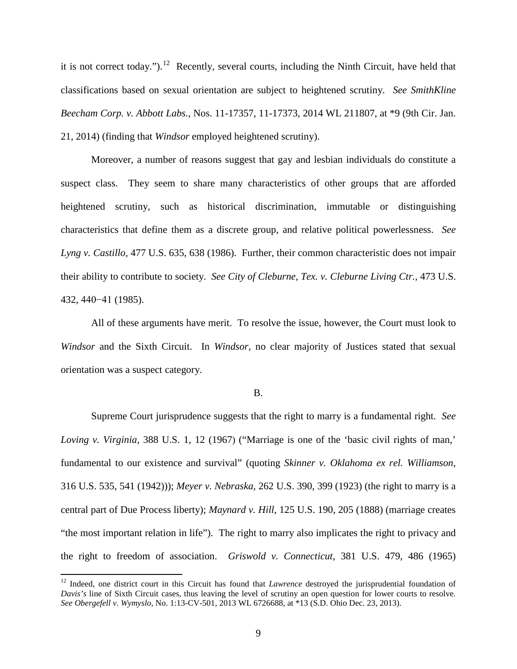it is not correct today.").<sup>[12](#page-8-0)</sup> Recently, several courts, including the Ninth Circuit, have held that classifications based on sexual orientation are subject to heightened scrutiny. *See SmithKline Beecham Corp. v. Abbott Labs.*, Nos. 11-17357, 11-17373, 2014 WL 211807, at \*9 (9th Cir. Jan. 21, 2014) (finding that *Windsor* employed heightened scrutiny).

Moreover, a number of reasons suggest that gay and lesbian individuals do constitute a suspect class. They seem to share many characteristics of other groups that are afforded heightened scrutiny, such as historical discrimination, immutable or distinguishing characteristics that define them as a discrete group, and relative political powerlessness. *See Lyng v. Castillo,* 477 U.S. 635, 638 (1986). Further, their common characteristic does not impair their ability to contribute to society. *See City of Cleburne, Tex. v. Cleburne Living Ctr.*, 473 U.S. 432, 440−41 (1985).

All of these arguments have merit. To resolve the issue, however, the Court must look to *Windsor* and the Sixth Circuit. In *Windsor*, no clear majority of Justices stated that sexual orientation was a suspect category.

#### B.

Supreme Court jurisprudence suggests that the right to marry is a fundamental right. *See Loving v. Virginia*, 388 U.S. 1, 12 (1967) ("Marriage is one of the 'basic civil rights of man,' fundamental to our existence and survival" (quoting *Skinner v. Oklahoma ex rel. Williamson*, 316 U.S. 535, 541 (1942))); *Meyer v. Nebraska*, 262 U.S. 390, 399 (1923) (the right to marry is a central part of Due Process liberty); *Maynard v. Hill*, 125 U.S. 190, 205 (1888) (marriage creates "the most important relation in life"). The right to marry also implicates the right to privacy and the right to freedom of association. *Griswold v. Connecticut*, 381 U.S. 479, 486 (1965)

<span id="page-8-0"></span><sup>&</sup>lt;sup>12</sup> Indeed, one district court in this Circuit has found that *Lawrence* destroyed the jurisprudential foundation of *Davis's* line of Sixth Circuit cases, thus leaving the level of scrutiny an open question for lower courts to resolve*. See Obergefell v. Wymyslo*, No. 1:13-CV-501, 2013 WL 6726688, at \*13 (S.D. Ohio Dec. 23, 2013).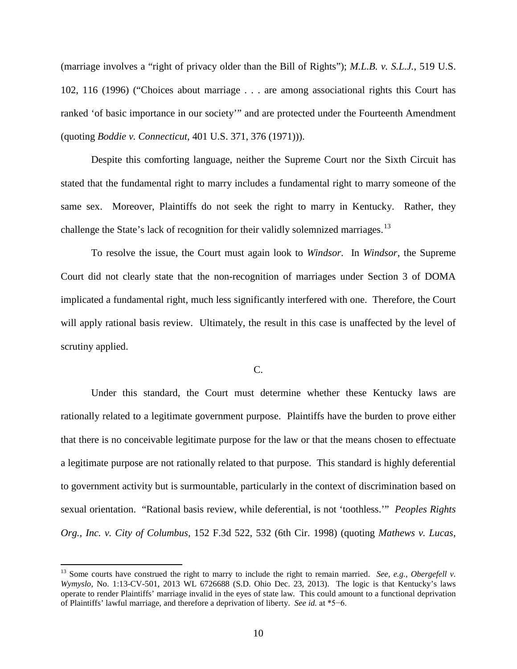(marriage involves a "right of privacy older than the Bill of Rights"); *M.L.B. v. S.L.J.*, 519 U.S. 102, 116 (1996) ("Choices about marriage . . . are among associational rights this Court has ranked 'of basic importance in our society'" and are protected under the Fourteenth Amendment (quoting *Boddie v. Connecticut*, 401 U.S. 371, 376 (1971))).

Despite this comforting language, neither the Supreme Court nor the Sixth Circuit has stated that the fundamental right to marry includes a fundamental right to marry someone of the same sex. Moreover, Plaintiffs do not seek the right to marry in Kentucky. Rather, they challenge the State's lack of recognition for their validly solemnized marriages.<sup>[13](#page-9-0)</sup>

To resolve the issue, the Court must again look to *Windsor*. In *Windsor*, the Supreme Court did not clearly state that the non-recognition of marriages under Section 3 of DOMA implicated a fundamental right, much less significantly interfered with one. Therefore, the Court will apply rational basis review. Ultimately, the result in this case is unaffected by the level of scrutiny applied.

## C.

Under this standard, the Court must determine whether these Kentucky laws are rationally related to a legitimate government purpose. Plaintiffs have the burden to prove either that there is no conceivable legitimate purpose for the law or that the means chosen to effectuate a legitimate purpose are not rationally related to that purpose. This standard is highly deferential to government activity but is surmountable, particularly in the context of discrimination based on sexual orientation. "Rational basis review, while deferential, is not 'toothless.'" *Peoples Rights Org., Inc. v. City of Columbus*, 152 F.3d 522, 532 (6th Cir. 1998) (quoting *Mathews v. Lucas*,

<span id="page-9-0"></span><sup>13</sup> Some courts have construed the right to marry to include the right to remain married. *See, e.g.*, *Obergefell v. Wymyslo*, No. 1:13-CV-501, 2013 WL 6726688 (S.D. Ohio Dec. 23, 2013). The logic is that Kentucky's laws operate to render Plaintiffs' marriage invalid in the eyes of state law. This could amount to a functional deprivation of Plaintiffs' lawful marriage, and therefore a deprivation of liberty. *See id.* at \*5−6.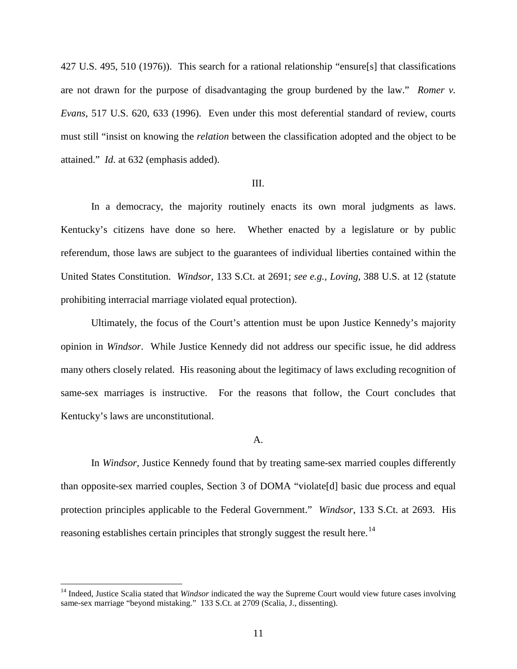427 U.S. 495, 510 (1976)). This search for a rational relationship "ensure[s] that classifications are not drawn for the purpose of disadvantaging the group burdened by the law." *Romer v. Evans*, 517 U.S. 620, 633 (1996). Even under this most deferential standard of review, courts must still "insist on knowing the *relation* between the classification adopted and the object to be attained." *Id.* at 632 (emphasis added).

## III.

In a democracy, the majority routinely enacts its own moral judgments as laws. Kentucky's citizens have done so here. Whether enacted by a legislature or by public referendum, those laws are subject to the guarantees of individual liberties contained within the United States Constitution. *Windsor*, 133 S.Ct. at 2691; *see e.g., Loving*, 388 U.S. at 12 (statute prohibiting interracial marriage violated equal protection).

Ultimately, the focus of the Court's attention must be upon Justice Kennedy's majority opinion in *Windsor*. While Justice Kennedy did not address our specific issue, he did address many others closely related. His reasoning about the legitimacy of laws excluding recognition of same-sex marriages is instructive. For the reasons that follow, the Court concludes that Kentucky's laws are unconstitutional.

#### A.

In *Windsor*, Justice Kennedy found that by treating same-sex married couples differently than opposite-sex married couples, Section 3 of DOMA "violate[d] basic due process and equal protection principles applicable to the Federal Government." *Windsor*, 133 S.Ct. at 2693. His reasoning establishes certain principles that strongly suggest the result here.<sup>[14](#page-10-0)</sup>

<span id="page-10-0"></span><sup>&</sup>lt;sup>14</sup> Indeed, Justice Scalia stated that *Windsor* indicated the way the Supreme Court would view future cases involving same-sex marriage "beyond mistaking." 133 S.Ct. at 2709 (Scalia, J., dissenting).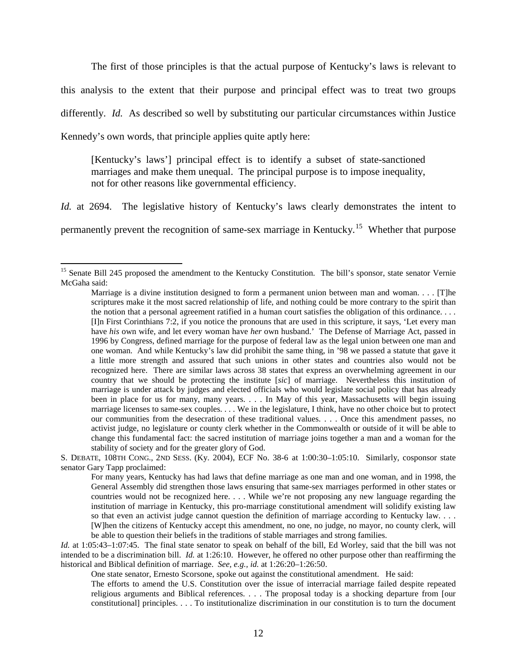The first of those principles is that the actual purpose of Kentucky's laws is relevant to this analysis to the extent that their purpose and principal effect was to treat two groups differently. *Id.* As described so well by substituting our particular circumstances within Justice Kennedy's own words, that principle applies quite aptly here:

[Kentucky's laws'] principal effect is to identify a subset of state-sanctioned marriages and make them unequal. The principal purpose is to impose inequality, not for other reasons like governmental efficiency.

*Id.* at 2694. The legislative history of Kentucky's laws clearly demonstrates the intent to permanently prevent the recognition of same-sex marriage in Kentucky.<sup>[15](#page-11-0)</sup> Whether that purpose

 $\overline{a}$ 

*Id.* at 1:05:43–1:07:45. The final state senator to speak on behalf of the bill, Ed Worley, said that the bill was not intended to be a discrimination bill. *Id.* at 1:26:10. However, he offered no other purpose other than reaffirming the historical and Biblical definition of marriage. *See, e.g., id.* at 1:26:20–1:26:50.

One state senator, Ernesto Scorsone, spoke out against the constitutional amendment. He said:

The efforts to amend the U.S. Constitution over the issue of interracial marriage failed despite repeated religious arguments and Biblical references. . . . The proposal today is a shocking departure from [our constitutional] principles. . . . To institutionalize discrimination in our constitution is to turn the document

<span id="page-11-0"></span><sup>&</sup>lt;sup>15</sup> Senate Bill 245 proposed the amendment to the Kentucky Constitution. The bill's sponsor, state senator Vernie McGaha said:

Marriage is a divine institution designed to form a permanent union between man and woman. . . . [T]he scriptures make it the most sacred relationship of life, and nothing could be more contrary to the spirit than the notion that a personal agreement ratified in a human court satisfies the obligation of this ordinance. . . . [I]n First Corinthians 7:2, if you notice the pronouns that are used in this scripture, it says, 'Let every man have *his* own wife, and let every woman have *her* own husband.' The Defense of Marriage Act, passed in 1996 by Congress, defined marriage for the purpose of federal law as the legal union between one man and one woman. And while Kentucky's law did prohibit the same thing, in '98 we passed a statute that gave it a little more strength and assured that such unions in other states and countries also would not be recognized here. There are similar laws across 38 states that express an overwhelming agreement in our country that we should be protecting the institute [*sic*] of marriage. Nevertheless this institution of marriage is under attack by judges and elected officials who would legislate social policy that has already been in place for us for many, many years. . . . In May of this year, Massachusetts will begin issuing marriage licenses to same-sex couples. . . . We in the legislature, I think, have no other choice but to protect our communities from the desecration of these traditional values. . . . Once this amendment passes, no activist judge, no legislature or county clerk whether in the Commonwealth or outside of it will be able to change this fundamental fact: the sacred institution of marriage joins together a man and a woman for the stability of society and for the greater glory of God.

S. DEBATE, 108TH CONG., 2ND SESS. (Ky. 2004), ECF No. 38-6 at 1:00:30–1:05:10. Similarly, cosponsor state senator Gary Tapp proclaimed:

For many years, Kentucky has had laws that define marriage as one man and one woman, and in 1998, the General Assembly did strengthen those laws ensuring that same-sex marriages performed in other states or countries would not be recognized here. . . . While we're not proposing any new language regarding the institution of marriage in Kentucky, this pro-marriage constitutional amendment will solidify existing law so that even an activist judge cannot question the definition of marriage according to Kentucky law. . . . [W]hen the citizens of Kentucky accept this amendment, no one, no judge, no mayor, no county clerk, will be able to question their beliefs in the traditions of stable marriages and strong families.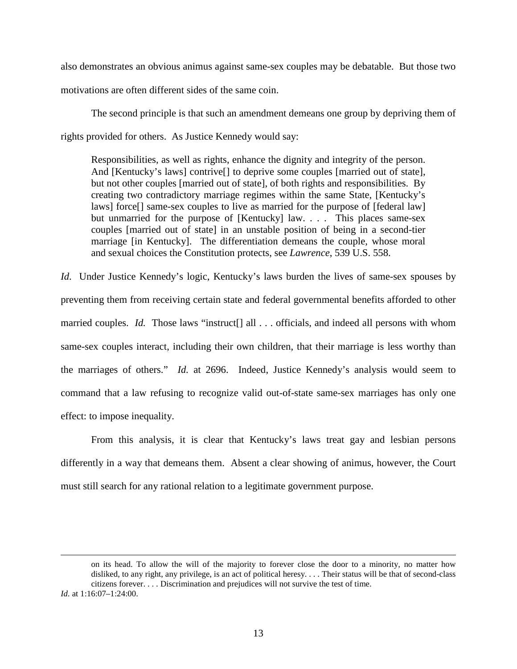also demonstrates an obvious animus against same-sex couples may be debatable. But those two motivations are often different sides of the same coin.

The second principle is that such an amendment demeans one group by depriving them of rights provided for others. As Justice Kennedy would say:

Responsibilities, as well as rights, enhance the dignity and integrity of the person. And [Kentucky's laws] contrive[] to deprive some couples [married out of state], but not other couples [married out of state], of both rights and responsibilities. By creating two contradictory marriage regimes within the same State, [Kentucky's laws] force[] same-sex couples to live as married for the purpose of [federal law] but unmarried for the purpose of [Kentucky] law. . . . This places same-sex couples [married out of state] in an unstable position of being in a second-tier marriage [in Kentucky]. The differentiation demeans the couple, whose moral and sexual choices the Constitution protects, see *Lawrence*, 539 U.S. 558.

*Id.* Under Justice Kennedy's logic, Kentucky's laws burden the lives of same-sex spouses by preventing them from receiving certain state and federal governmental benefits afforded to other married couples. *Id.* Those laws "instruct<sup>[]</sup> all ... officials, and indeed all persons with whom same-sex couples interact, including their own children, that their marriage is less worthy than the marriages of others." *Id.* at 2696. Indeed, Justice Kennedy's analysis would seem to command that a law refusing to recognize valid out-of-state same-sex marriages has only one effect: to impose inequality.

From this analysis, it is clear that Kentucky's laws treat gay and lesbian persons differently in a way that demeans them. Absent a clear showing of animus, however, the Court must still search for any rational relation to a legitimate government purpose.

on its head. To allow the will of the majority to forever close the door to a minority, no matter how disliked, to any right, any privilege, is an act of political heresy. . . . Their status will be that of second-class citizens forever. . . . Discrimination and prejudices will not survive the test of time.

*Id.* at 1:16:07–1:24:00.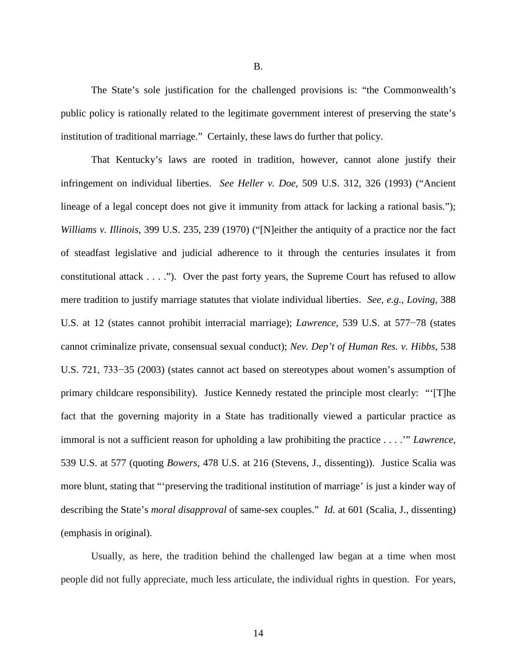The State's sole justification for the challenged provisions is: "the Commonwealth's public policy is rationally related to the legitimate government interest of preserving the state's institution of traditional marriage." Certainly, these laws do further that policy.

That Kentucky's laws are rooted in tradition, however, cannot alone justify their infringement on individual liberties. *See Heller v. Doe*, 509 U.S. 312, 326 (1993) ("Ancient lineage of a legal concept does not give it immunity from attack for lacking a rational basis."); *Williams v. Illinois*, 399 U.S. 235, 239 (1970) ("[N]either the antiquity of a practice nor the fact of steadfast legislative and judicial adherence to it through the centuries insulates it from constitutional attack . . . ."). Over the past forty years, the Supreme Court has refused to allow mere tradition to justify marriage statutes that violate individual liberties. *See, e.g., Loving*, 388 U.S. at 12 (states cannot prohibit interracial marriage); *Lawrence*, 539 U.S. at 577−78 (states cannot criminalize private, consensual sexual conduct); *Nev. Dep't of Human Res. v. Hibbs*, 538 U.S. 721, 733−35 (2003) (states cannot act based on stereotypes about women's assumption of primary childcare responsibility). Justice Kennedy restated the principle most clearly: "'[T]he fact that the governing majority in a State has traditionally viewed a particular practice as immoral is not a sufficient reason for upholding a law prohibiting the practice . . . .'" *Lawrence*, 539 U.S. at 577 (quoting *Bowers*, 478 U.S. at 216 (Stevens, J., dissenting)). Justice Scalia was more blunt, stating that "'preserving the traditional institution of marriage' is just a kinder way of describing the State's *moral disapproval* of same-sex couples." *Id.* at 601 (Scalia, J., dissenting) (emphasis in original).

Usually, as here, the tradition behind the challenged law began at a time when most people did not fully appreciate, much less articulate, the individual rights in question. For years,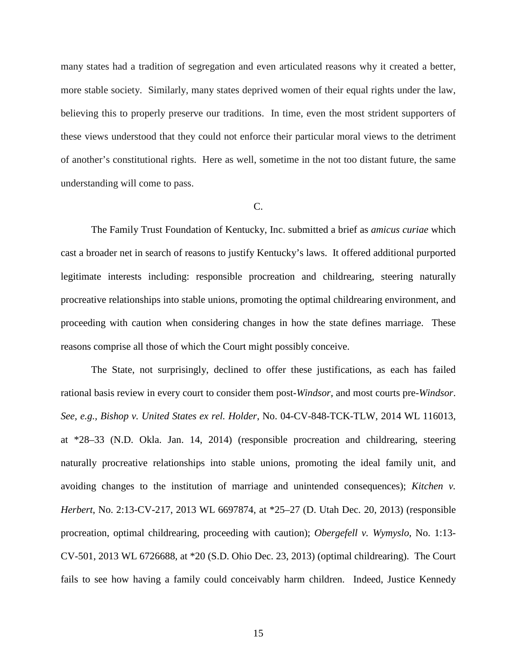many states had a tradition of segregation and even articulated reasons why it created a better, more stable society. Similarly, many states deprived women of their equal rights under the law, believing this to properly preserve our traditions. In time, even the most strident supporters of these views understood that they could not enforce their particular moral views to the detriment of another's constitutional rights. Here as well, sometime in the not too distant future, the same understanding will come to pass.

#### C.

The Family Trust Foundation of Kentucky, Inc. submitted a brief as *amicus curiae* which cast a broader net in search of reasons to justify Kentucky's laws. It offered additional purported legitimate interests including: responsible procreation and childrearing, steering naturally procreative relationships into stable unions, promoting the optimal childrearing environment, and proceeding with caution when considering changes in how the state defines marriage. These reasons comprise all those of which the Court might possibly conceive.

The State, not surprisingly, declined to offer these justifications, as each has failed rational basis review in every court to consider them post-*Windsor*, and most courts pre-*Windsor*. *See, e.g., Bishop v. United States ex rel. Holder*, No. 04-CV-848-TCK-TLW, 2014 WL 116013, at \*28–33 (N.D. Okla. Jan. 14, 2014) (responsible procreation and childrearing, steering naturally procreative relationships into stable unions, promoting the ideal family unit, and avoiding changes to the institution of marriage and unintended consequences); *Kitchen v. Herbert*, No. 2:13-CV-217, 2013 WL 6697874, at \*25–27 (D. Utah Dec. 20, 2013) (responsible procreation, optimal childrearing, proceeding with caution); *Obergefell v. Wymyslo*, No. 1:13- CV-501, 2013 WL 6726688, at \*20 (S.D. Ohio Dec. 23, 2013) (optimal childrearing).The Court fails to see how having a family could conceivably harm children. Indeed, Justice Kennedy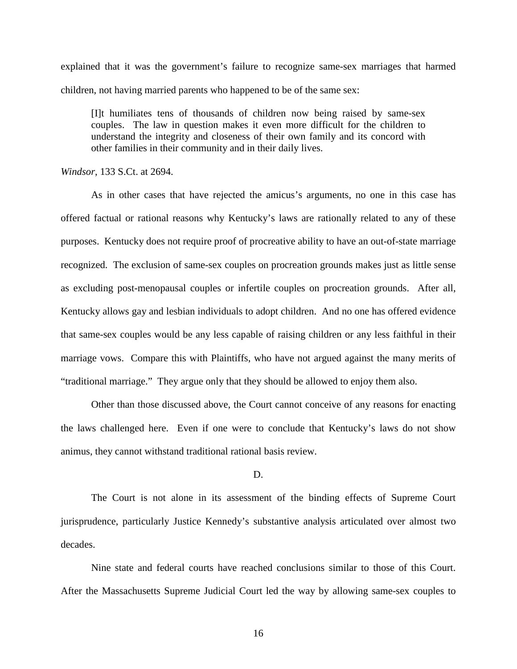explained that it was the government's failure to recognize same-sex marriages that harmed children, not having married parents who happened to be of the same sex:

[I]t humiliates tens of thousands of children now being raised by same-sex couples. The law in question makes it even more difficult for the children to understand the integrity and closeness of their own family and its concord with other families in their community and in their daily lives.

*Windsor*, 133 S.Ct. at 2694.

As in other cases that have rejected the amicus's arguments, no one in this case has offered factual or rational reasons why Kentucky's laws are rationally related to any of these purposes. Kentucky does not require proof of procreative ability to have an out-of-state marriage recognized. The exclusion of same-sex couples on procreation grounds makes just as little sense as excluding post-menopausal couples or infertile couples on procreation grounds. After all, Kentucky allows gay and lesbian individuals to adopt children. And no one has offered evidence that same-sex couples would be any less capable of raising children or any less faithful in their marriage vows. Compare this with Plaintiffs, who have not argued against the many merits of "traditional marriage." They argue only that they should be allowed to enjoy them also.

Other than those discussed above, the Court cannot conceive of any reasons for enacting the laws challenged here. Even if one were to conclude that Kentucky's laws do not show animus, they cannot withstand traditional rational basis review.

#### D.

The Court is not alone in its assessment of the binding effects of Supreme Court jurisprudence, particularly Justice Kennedy's substantive analysis articulated over almost two decades.

 Nine state and federal courts have reached conclusions similar to those of this Court. After the Massachusetts Supreme Judicial Court led the way by allowing same-sex couples to

16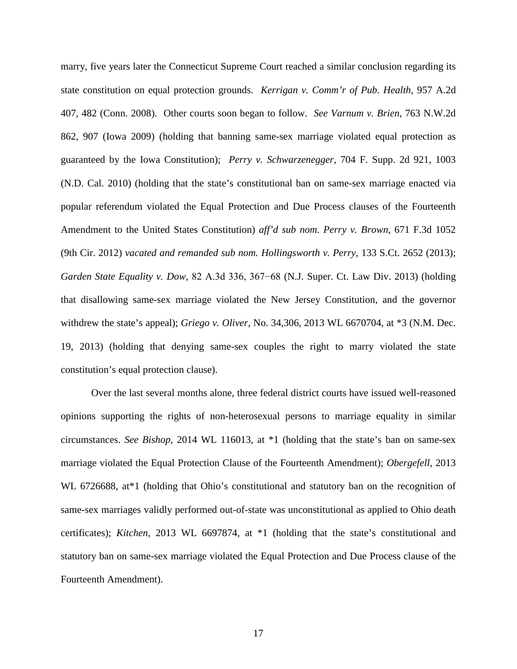marry, five years later the Connecticut Supreme Court reached a similar conclusion regarding its state constitution on equal protection grounds. *Kerrigan v. Comm'r of Pub. Health*, 957 A.2d 407, 482 (Conn. 2008). Other courts soon began to follow. *See Varnum v. Brien*, 763 N.W.2d 862, 907 (Iowa 2009) (holding that banning same-sex marriage violated equal protection as guaranteed by the Iowa Constitution); *Perry v. Schwarzenegger*, 704 F. Supp. 2d 921, 1003 (N.D. Cal. 2010) (holding that the state's constitutional ban on same-sex marriage enacted via popular referendum violated the Equal Protection and Due Process clauses of the Fourteenth Amendment to the United States Constitution) *aff'd sub nom. Perry v. Brown*, 671 F.3d 1052 (9th Cir. 2012) *vacated and remanded sub nom. Hollingsworth v. Perry*, 133 S.Ct. 2652 (2013); *Garden State Equality v. Dow*, 82 A.3d 336, 367−68 (N.J. Super. Ct. Law Div. 2013) (holding that disallowing same-sex marriage violated the New Jersey Constitution, and the governor withdrew the state's appeal); *Griego v. Oliver*, No. 34,306, 2013 WL 6670704, at \*3 (N.M. Dec. 19, 2013) (holding that denying same-sex couples the right to marry violated the state constitution's equal protection clause).

 Over the last several months alone, three federal district courts have issued well-reasoned opinions supporting the rights of non-heterosexual persons to marriage equality in similar circumstances. *See Bishop*, 2014 WL 116013, at \*1 (holding that the state's ban on same-sex marriage violated the Equal Protection Clause of the Fourteenth Amendment); *Obergefell*, 2013 WL 6726688, at\*1 (holding that Ohio's constitutional and statutory ban on the recognition of same-sex marriages validly performed out-of-state was unconstitutional as applied to Ohio death certificates); *Kitchen*, 2013 WL 6697874, at \*1 (holding that the state's constitutional and statutory ban on same-sex marriage violated the Equal Protection and Due Process clause of the Fourteenth Amendment).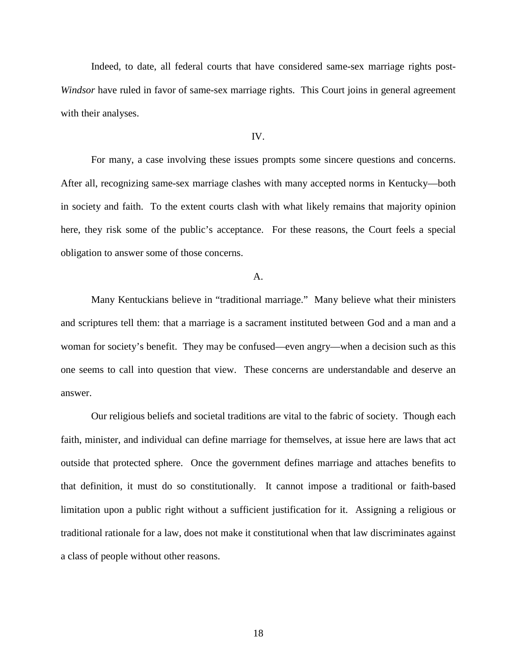Indeed, to date, all federal courts that have considered same-sex marriage rights post-*Windsor* have ruled in favor of same-sex marriage rights. This Court joins in general agreement with their analyses.

#### IV.

For many, a case involving these issues prompts some sincere questions and concerns. After all, recognizing same-sex marriage clashes with many accepted norms in Kentucky—both in society and faith. To the extent courts clash with what likely remains that majority opinion here, they risk some of the public's acceptance. For these reasons, the Court feels a special obligation to answer some of those concerns.

A.

Many Kentuckians believe in "traditional marriage." Many believe what their ministers and scriptures tell them: that a marriage is a sacrament instituted between God and a man and a woman for society's benefit. They may be confused—even angry—when a decision such as this one seems to call into question that view. These concerns are understandable and deserve an answer.

Our religious beliefs and societal traditions are vital to the fabric of society. Though each faith, minister, and individual can define marriage for themselves, at issue here are laws that act outside that protected sphere. Once the government defines marriage and attaches benefits to that definition, it must do so constitutionally. It cannot impose a traditional or faith-based limitation upon a public right without a sufficient justification for it. Assigning a religious or traditional rationale for a law, does not make it constitutional when that law discriminates against a class of people without other reasons.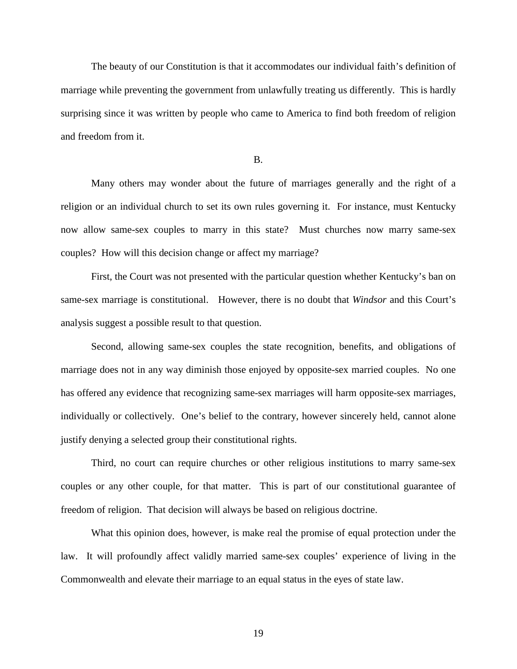The beauty of our Constitution is that it accommodates our individual faith's definition of marriage while preventing the government from unlawfully treating us differently. This is hardly surprising since it was written by people who came to America to find both freedom of religion and freedom from it.

B.

Many others may wonder about the future of marriages generally and the right of a religion or an individual church to set its own rules governing it. For instance, must Kentucky now allow same-sex couples to marry in this state? Must churches now marry same-sex couples? How will this decision change or affect my marriage?

 First, the Court was not presented with the particular question whether Kentucky's ban on same-sex marriage is constitutional. However, there is no doubt that *Windsor* and this Court's analysis suggest a possible result to that question.

 Second, allowing same-sex couples the state recognition, benefits, and obligations of marriage does not in any way diminish those enjoyed by opposite-sex married couples. No one has offered any evidence that recognizing same-sex marriages will harm opposite-sex marriages, individually or collectively. One's belief to the contrary, however sincerely held, cannot alone justify denying a selected group their constitutional rights.

Third, no court can require churches or other religious institutions to marry same-sex couples or any other couple, for that matter. This is part of our constitutional guarantee of freedom of religion. That decision will always be based on religious doctrine.

What this opinion does, however, is make real the promise of equal protection under the law. It will profoundly affect validly married same-sex couples' experience of living in the Commonwealth and elevate their marriage to an equal status in the eyes of state law.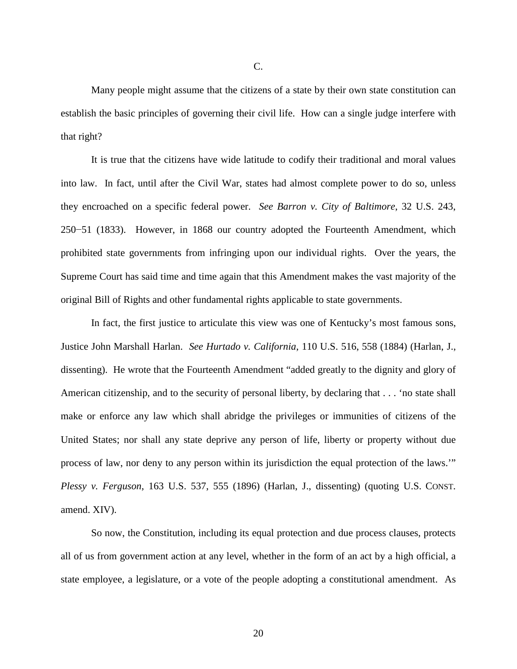Many people might assume that the citizens of a state by their own state constitution can establish the basic principles of governing their civil life. How can a single judge interfere with that right?

It is true that the citizens have wide latitude to codify their traditional and moral values into law. In fact, until after the Civil War, states had almost complete power to do so, unless they encroached on a specific federal power. *See Barron v. City of Baltimore*, 32 U.S. 243, 250−51 (1833). However, in 1868 our country adopted the Fourteenth Amendment, which prohibited state governments from infringing upon our individual rights. Over the years, the Supreme Court has said time and time again that this Amendment makes the vast majority of the original Bill of Rights and other fundamental rights applicable to state governments.

In fact, the first justice to articulate this view was one of Kentucky's most famous sons, Justice John Marshall Harlan. *See Hurtado v. California*, 110 U.S. 516, 558 (1884) (Harlan, J., dissenting). He wrote that the Fourteenth Amendment "added greatly to the dignity and glory of American citizenship, and to the security of personal liberty, by declaring that . . . 'no state shall make or enforce any law which shall abridge the privileges or immunities of citizens of the United States; nor shall any state deprive any person of life, liberty or property without due process of law, nor deny to any person within its jurisdiction the equal protection of the laws.'" *Plessy v. Ferguson*, 163 U.S. 537, 555 (1896) (Harlan, J., dissenting) (quoting U.S. CONST. amend. XIV).

So now, the Constitution, including its equal protection and due process clauses, protects all of us from government action at any level, whether in the form of an act by a high official, a state employee, a legislature, or a vote of the people adopting a constitutional amendment. As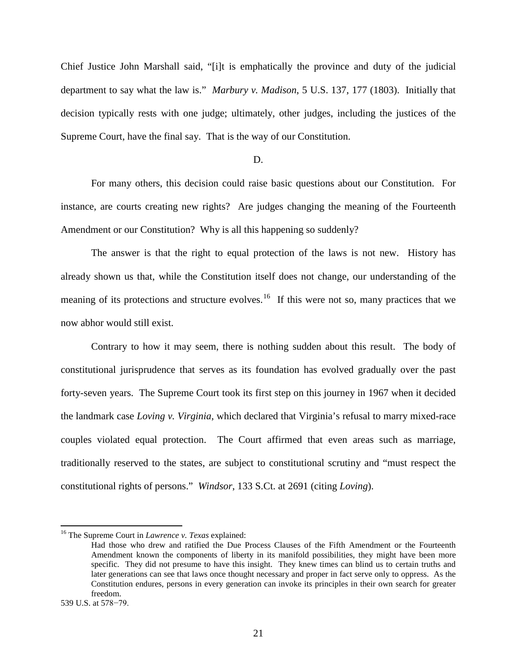Chief Justice John Marshall said, "[i]t is emphatically the province and duty of the judicial department to say what the law is." *Marbury v. Madison*, 5 U.S. 137, 177 (1803). Initially that decision typically rests with one judge; ultimately, other judges, including the justices of the Supreme Court, have the final say. That is the way of our Constitution.

## D.

For many others, this decision could raise basic questions about our Constitution. For instance, are courts creating new rights? Are judges changing the meaning of the Fourteenth Amendment or our Constitution? Why is all this happening so suddenly?

The answer is that the right to equal protection of the laws is not new. History has already shown us that, while the Constitution itself does not change, our understanding of the meaning of its protections and structure evolves.<sup>[16](#page-20-0)</sup> If this were not so, many practices that we now abhor would still exist.

Contrary to how it may seem, there is nothing sudden about this result. The body of constitutional jurisprudence that serves as its foundation has evolved gradually over the past forty-seven years. The Supreme Court took its first step on this journey in 1967 when it decided the landmark case *Loving v. Virginia*, which declared that Virginia's refusal to marry mixed-race couples violated equal protection. The Court affirmed that even areas such as marriage, traditionally reserved to the states, are subject to constitutional scrutiny and "must respect the constitutional rights of persons." *Windsor*, 133 S.Ct. at 2691 (citing *Loving*).

<span id="page-20-0"></span><sup>16</sup> The Supreme Court in *Lawrence v. Texas* explained:

Had those who drew and ratified the Due Process Clauses of the Fifth Amendment or the Fourteenth Amendment known the components of liberty in its manifold possibilities, they might have been more specific. They did not presume to have this insight. They knew times can blind us to certain truths and later generations can see that laws once thought necessary and proper in fact serve only to oppress. As the Constitution endures, persons in every generation can invoke its principles in their own search for greater freedom.

<sup>539</sup> U.S. at 578−79.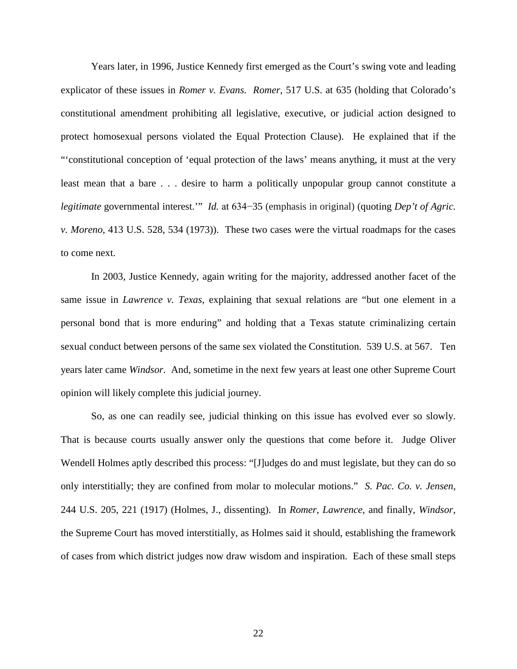Years later, in 1996, Justice Kennedy first emerged as the Court's swing vote and leading explicator of these issues in *Romer v. Evans*. *Romer*, 517 U.S. at 635 (holding that Colorado's constitutional amendment prohibiting all legislative, executive, or judicial action designed to protect homosexual persons violated the Equal Protection Clause). He explained that if the "'constitutional conception of 'equal protection of the laws' means anything, it must at the very least mean that a bare . . . desire to harm a politically unpopular group cannot constitute a *legitimate* governmental interest.'" *Id.* at 634−35 (emphasis in original) (quoting *Dep't of Agric. v. Moreno*, 413 U.S. 528, 534 (1973)). These two cases were the virtual roadmaps for the cases to come next.

In 2003, Justice Kennedy, again writing for the majority, addressed another facet of the same issue in *Lawrence v. Texas*, explaining that sexual relations are "but one element in a personal bond that is more enduring" and holding that a Texas statute criminalizing certain sexual conduct between persons of the same sex violated the Constitution. 539 U.S. at 567. Ten years later came *Windsor.* And, sometime in the next few years at least one other Supreme Court opinion will likely complete this judicial journey.

So, as one can readily see, judicial thinking on this issue has evolved ever so slowly. That is because courts usually answer only the questions that come before it. Judge Oliver Wendell Holmes aptly described this process: "[J]udges do and must legislate, but they can do so only interstitially; they are confined from molar to molecular motions." *S. Pac. Co. v. Jensen*, 244 U.S. 205, 221 (1917) (Holmes, J., dissenting). In *Romer*, *Lawrence*, and finally, *Windsor*, the Supreme Court has moved interstitially, as Holmes said it should, establishing the framework of cases from which district judges now draw wisdom and inspiration. Each of these small steps